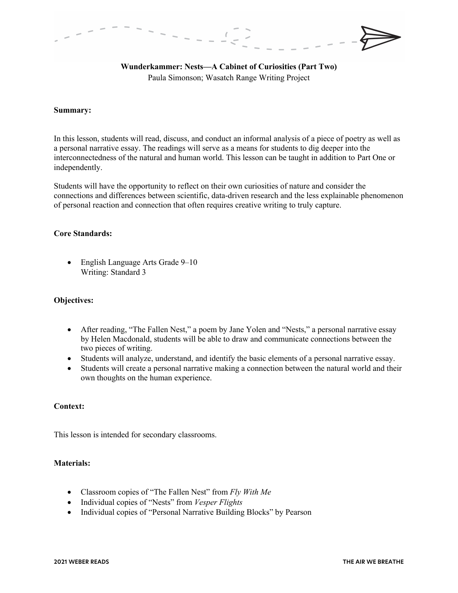# **Wunderkammer: Nests—A Cabinet of Curiosities (Part Two)** Paula Simonson; Wasatch Range Writing Project

## **Summary:**

In this lesson, students will read, discuss, and conduct an informal analysis of a piece of poetry as well as a personal narrative essay. The readings will serve as a means for students to dig deeper into the interconnectedness of the natural and human world. This lesson can be taught in addition to Part One or independently.

Students will have the opportunity to reflect on their own curiosities of nature and consider the connections and differences between scientific, data-driven research and the less explainable phenomenon of personal reaction and connection that often requires creative writing to truly capture.

## **Core Standards:**

• English Language Arts Grade 9–10 Writing: Standard 3

## **Objectives:**

- After reading, "The Fallen Nest," a poem by Jane Yolen and "Nests," a personal narrative essay by Helen Macdonald, students will be able to draw and communicate connections between the two pieces of writing.
- Students will analyze, understand, and identify the basic elements of a personal narrative essay.
- Students will create a personal narrative making a connection between the natural world and their own thoughts on the human experience.

# **Context:**

This lesson is intended for secondary classrooms.

# **Materials:**

- Classroom copies of "The Fallen Nest" from *Fly With Me*
- Individual copies of "Nests" from *Vesper Flights*
- Individual copies of "Personal Narrative Building Blocks" by Pearson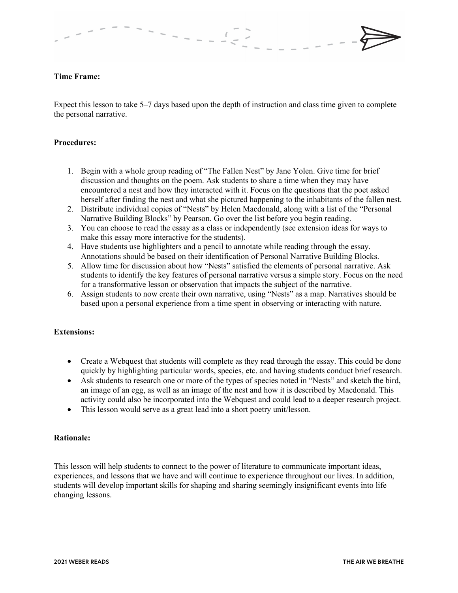## **Time Frame:**

Expect this lesson to take 5–7 days based upon the depth of instruction and class time given to complete the personal narrative.

## **Procedures:**

- 1. Begin with a whole group reading of "The Fallen Nest" by Jane Yolen. Give time for brief discussion and thoughts on the poem. Ask students to share a time when they may have encountered a nest and how they interacted with it. Focus on the questions that the poet asked herself after finding the nest and what she pictured happening to the inhabitants of the fallen nest.
- 2. Distribute individual copies of "Nests" by Helen Macdonald, along with a list of the "Personal Narrative Building Blocks" by Pearson. Go over the list before you begin reading.
- 3. You can choose to read the essay as a class or independently (see extension ideas for ways to make this essay more interactive for the students).
- 4. Have students use highlighters and a pencil to annotate while reading through the essay. Annotations should be based on their identification of Personal Narrative Building Blocks.
- 5. Allow time for discussion about how "Nests" satisfied the elements of personal narrative. Ask students to identify the key features of personal narrative versus a simple story. Focus on the need for a transformative lesson or observation that impacts the subject of the narrative.
- 6. Assign students to now create their own narrative, using "Nests" as a map. Narratives should be based upon a personal experience from a time spent in observing or interacting with nature.

#### **Extensions:**

- Create a Webquest that students will complete as they read through the essay. This could be done quickly by highlighting particular words, species, etc. and having students conduct brief research.
- Ask students to research one or more of the types of species noted in "Nests" and sketch the bird, an image of an egg, as well as an image of the nest and how it is described by Macdonald. This activity could also be incorporated into the Webquest and could lead to a deeper research project.
- This lesson would serve as a great lead into a short poetry unit/lesson.

## **Rationale:**

This lesson will help students to connect to the power of literature to communicate important ideas, experiences, and lessons that we have and will continue to experience throughout our lives. In addition, students will develop important skills for shaping and sharing seemingly insignificant events into life changing lessons.